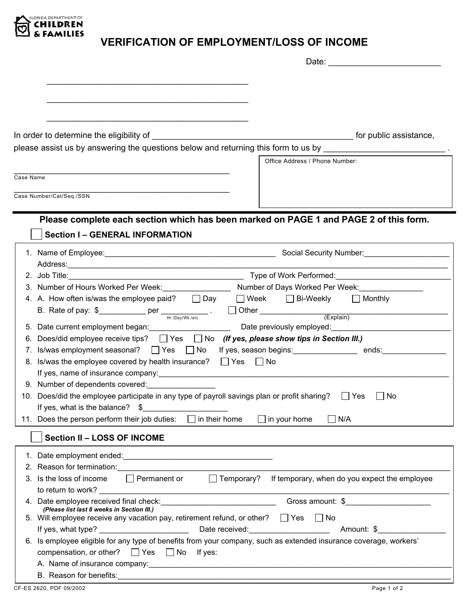

## **VERIFICATION OF EMPLOYMENT/LOSS OF INCOME**

| In order to determine the eligibility of                                                                                                                                                                                        | for public assistance,                                                                                         |
|---------------------------------------------------------------------------------------------------------------------------------------------------------------------------------------------------------------------------------|----------------------------------------------------------------------------------------------------------------|
| please assist us by answering the questions below and returning this form to us by                                                                                                                                              |                                                                                                                |
|                                                                                                                                                                                                                                 | Office Address / Phone Number:                                                                                 |
|                                                                                                                                                                                                                                 |                                                                                                                |
| Case Name                                                                                                                                                                                                                       |                                                                                                                |
| Case Number/Cat/Seq./SSN                                                                                                                                                                                                        |                                                                                                                |
|                                                                                                                                                                                                                                 |                                                                                                                |
|                                                                                                                                                                                                                                 |                                                                                                                |
| Please complete each section which has been marked on PAGE 1 and PAGE 2 of this form.                                                                                                                                           |                                                                                                                |
| <b>Section I-GENERAL INFORMATION</b>                                                                                                                                                                                            |                                                                                                                |
|                                                                                                                                                                                                                                 |                                                                                                                |
|                                                                                                                                                                                                                                 |                                                                                                                |
|                                                                                                                                                                                                                                 |                                                                                                                |
| 3. Number of Hours Worked Per Week: _____________________ Number of Days Worked Per Week: ________________                                                                                                                      |                                                                                                                |
| 4. A. How often is/was the employee paid? $\Box$ Day $\Box$ Week $\Box$ Bi-Weekly $\Box$ Monthly                                                                                                                                |                                                                                                                |
|                                                                                                                                                                                                                                 |                                                                                                                |
| B. Rate of pay: $\oint$ per $\frac{H_f(Day/Wk, letc)}{H_f(Day/Wk, letc)}$ . Other $\frac{H_f(Day/Wk, letc)}{H_f(Day/Wk, letc)}$                                                                                                 |                                                                                                                |
| 5. Date current employment began:                                                                                                                                                                                               | Date previously employed: Date measurement of the state of the state of the state of the state of the state of |
| 6. Does/did employee receive tips? $\Box$ Yes $\Box$ No (If yes, please show tips in Section III.)                                                                                                                              |                                                                                                                |
| 7. Is/was employment seasonal?<br>Tes  Tex  If yes, season begins:<br>The Magnetic Condons:  Tends:  Tex Condons:  Tex Universe is interferible and the Condons:  Tex Universe is interferible and the University of the Univer |                                                                                                                |
| 8. Is/was the employee covered by health insurance? $\Box$ Yes $\Box$ No                                                                                                                                                        |                                                                                                                |
| If yes, name of insurance company: Notified that the state of the state of the state of the state of the state of the state of the state of the state of the state of the state of the state of the state of the state of the   |                                                                                                                |
| 9. Number of dependents covered:                                                                                                                                                                                                |                                                                                                                |
| 10. Does/did the employee participate in any type of payroll savings plan or profit sharing?                                                                                                                                    | $\Box$ Yes<br>No                                                                                               |
| If yes, what is the balance? $\$$                                                                                                                                                                                               |                                                                                                                |
| 11. Does the person perform their job duties:<br>$\Box$ in their home                                                                                                                                                           | $\Box$ in your home<br>] N/A                                                                                   |
| <b>Section II - LOSS OF INCOME</b>                                                                                                                                                                                              |                                                                                                                |
|                                                                                                                                                                                                                                 |                                                                                                                |
| 2. Reason for termination: example and a series of the series of the series of the series of the series of the series of the series of the series of the series of the series of the series of the series of the series of the  |                                                                                                                |
| $\Box$ Permanent or $\Box$ Temporary?<br>Is the loss of income                                                                                                                                                                  | If temporary, when do you expect the employee                                                                  |
|                                                                                                                                                                                                                                 |                                                                                                                |
|                                                                                                                                                                                                                                 | Gross amount: \$                                                                                               |
| (Please list last 8 weeks in Section III.)                                                                                                                                                                                      |                                                                                                                |
| 5. Will employee receive any vacation pay, retirement refund, or other? $\Box$ Yes $\Box$ No                                                                                                                                    |                                                                                                                |
|                                                                                                                                                                                                                                 |                                                                                                                |
| 6. Is employee eligible for any type of benefits from your company, such as extended insurance coverage, workers'                                                                                                               |                                                                                                                |
| compensation, or other? $\Box$ Yes $\Box$ No If yes:                                                                                                                                                                            |                                                                                                                |
|                                                                                                                                                                                                                                 |                                                                                                                |
|                                                                                                                                                                                                                                 |                                                                                                                |
| CF-ES 2620, PDF 09/2002                                                                                                                                                                                                         | Page 1 of 2                                                                                                    |